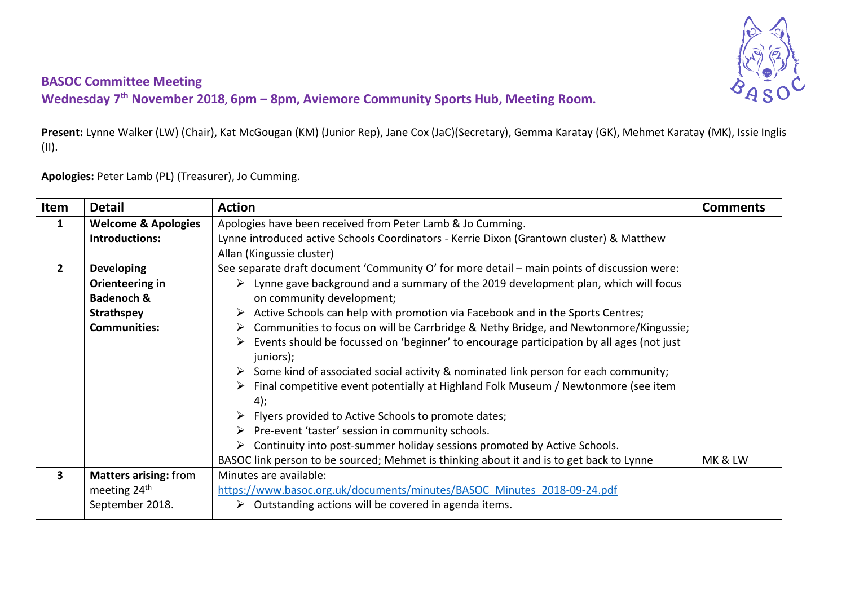

## **BASOC Committee Meeting**

**Wednesday 7th November 2018, 6pm – 8pm, Aviemore Community Sports Hub, Meeting Room.**

**Present:** Lynne Walker (LW) (Chair), Kat McGougan (KM) (Junior Rep), Jane Cox (JaC)(Secretary), Gemma Karatay (GK), Mehmet Karatay (MK), Issie Inglis (II).

**Apologies:** Peter Lamb (PL) (Treasurer), Jo Cumming.

| Item           | <b>Detail</b>                  | <b>Action</b>                                                                                         | <b>Comments</b> |
|----------------|--------------------------------|-------------------------------------------------------------------------------------------------------|-----------------|
| 1              | <b>Welcome &amp; Apologies</b> | Apologies have been received from Peter Lamb & Jo Cumming.                                            |                 |
|                | Introductions:                 | Lynne introduced active Schools Coordinators - Kerrie Dixon (Grantown cluster) & Matthew              |                 |
|                |                                | Allan (Kingussie cluster)                                                                             |                 |
| $\overline{2}$ | <b>Developing</b>              | See separate draft document 'Community O' for more detail - main points of discussion were:           |                 |
|                | Orienteering in                | $\triangleright$ Lynne gave background and a summary of the 2019 development plan, which will focus   |                 |
|                | <b>Badenoch &amp;</b>          | on community development;                                                                             |                 |
|                | <b>Strathspey</b>              | Active Schools can help with promotion via Facebook and in the Sports Centres;                        |                 |
|                | <b>Communities:</b>            | Communities to focus on will be Carrbridge & Nethy Bridge, and Newtonmore/Kingussie;                  |                 |
|                |                                | Events should be focussed on 'beginner' to encourage participation by all ages (not just<br>juniors); |                 |
|                |                                | $\triangleright$ Some kind of associated social activity & nominated link person for each community;  |                 |
|                |                                | Final competitive event potentially at Highland Folk Museum / Newtonmore (see item<br>4);             |                 |
|                |                                | Flyers provided to Active Schools to promote dates;                                                   |                 |
|                |                                | $\triangleright$ Pre-event 'taster' session in community schools.                                     |                 |
|                |                                | $\triangleright$ Continuity into post-summer holiday sessions promoted by Active Schools.             |                 |
|                |                                | BASOC link person to be sourced; Mehmet is thinking about it and is to get back to Lynne              | MK & LW         |
| 3              | <b>Matters arising: from</b>   | Minutes are available:                                                                                |                 |
|                | meeting 24 <sup>th</sup>       | https://www.basoc.org.uk/documents/minutes/BASOC Minutes 2018-09-24.pdf                               |                 |
|                | September 2018.                | Outstanding actions will be covered in agenda items.                                                  |                 |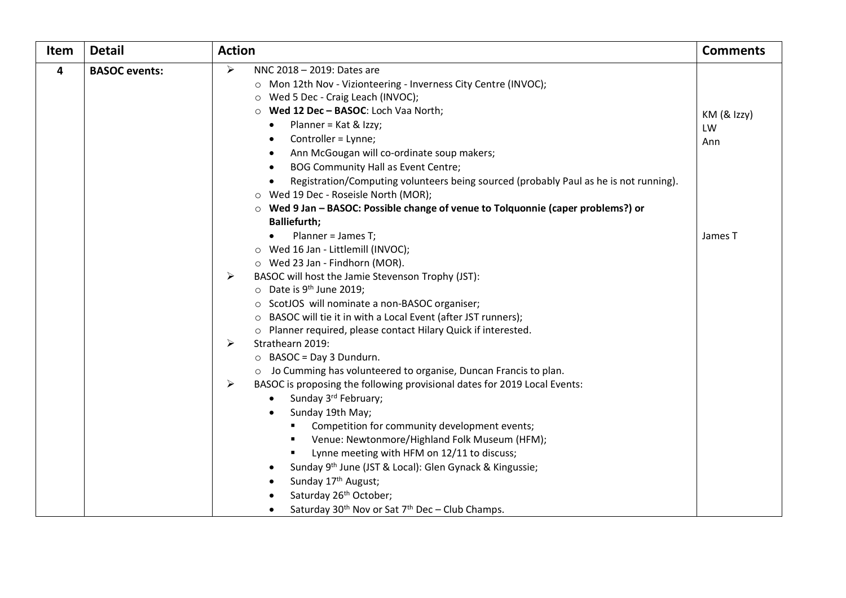| Item | <b>Detail</b>        | <b>Action</b>                                                                                                                                                                                                                                                                                                                                                                                                                                                                                                                                                                                                                                                                                                                                                                                                                                                                                                                                                                                                                                                                                                                                                                                                                                                 | <b>Comments</b>               |
|------|----------------------|---------------------------------------------------------------------------------------------------------------------------------------------------------------------------------------------------------------------------------------------------------------------------------------------------------------------------------------------------------------------------------------------------------------------------------------------------------------------------------------------------------------------------------------------------------------------------------------------------------------------------------------------------------------------------------------------------------------------------------------------------------------------------------------------------------------------------------------------------------------------------------------------------------------------------------------------------------------------------------------------------------------------------------------------------------------------------------------------------------------------------------------------------------------------------------------------------------------------------------------------------------------|-------------------------------|
| 4    | <b>BASOC</b> events: | $\blacktriangleright$<br>NNC 2018 - 2019: Dates are<br>o Mon 12th Nov - Vizionteering - Inverness City Centre (INVOC);<br>O Wed 5 Dec - Craig Leach (INVOC);<br>Wed 12 Dec - BASOC: Loch Vaa North;<br>Planner = Kat & Izzy;<br>$\bullet$<br>Controller = Lynne;<br>$\bullet$<br>Ann McGougan will co-ordinate soup makers;<br>$\bullet$<br><b>BOG Community Hall as Event Centre;</b><br>$\bullet$<br>Registration/Computing volunteers being sourced (probably Paul as he is not running).<br>$\bullet$<br>Wed 19 Dec - Roseisle North (MOR);<br>$\circ$                                                                                                                                                                                                                                                                                                                                                                                                                                                                                                                                                                                                                                                                                                    | $KM$ ( $&$ Izzy)<br>LW<br>Ann |
|      |                      | $\circ$ Wed 9 Jan – BASOC: Possible change of venue to Tolquonnie (caper problems?) or<br><b>Balliefurth;</b><br>Planner = James T;<br>$\bullet$<br>O Wed 16 Jan - Littlemill (INVOC);<br>O Wed 23 Jan - Findhorn (MOR).<br>BASOC will host the Jamie Stevenson Trophy (JST):<br>➤<br>$\circ$ Date is 9 <sup>th</sup> June 2019;<br>o ScotJOS will nominate a non-BASOC organiser;<br>o BASOC will tie it in with a Local Event (after JST runners);<br>o Planner required, please contact Hilary Quick if interested.<br>Strathearn 2019:<br>➤<br>$\circ$ BASOC = Day 3 Dundurn.<br>o Jo Cumming has volunteered to organise, Duncan Francis to plan.<br>➤<br>BASOC is proposing the following provisional dates for 2019 Local Events:<br>Sunday 3rd February;<br>$\bullet$<br>Sunday 19th May;<br>$\bullet$<br>Competition for community development events;<br>٠<br>Venue: Newtonmore/Highland Folk Museum (HFM);<br>п<br>Lynne meeting with HFM on 12/11 to discuss;<br>$\blacksquare$<br>Sunday 9 <sup>th</sup> June (JST & Local): Glen Gynack & Kingussie;<br>$\bullet$<br>Sunday 17 <sup>th</sup> August;<br>$\bullet$<br>Saturday 26 <sup>th</sup> October;<br>Saturday 30 <sup>th</sup> Nov or Sat 7 <sup>th</sup> Dec - Club Champs.<br>$\bullet$ | James T                       |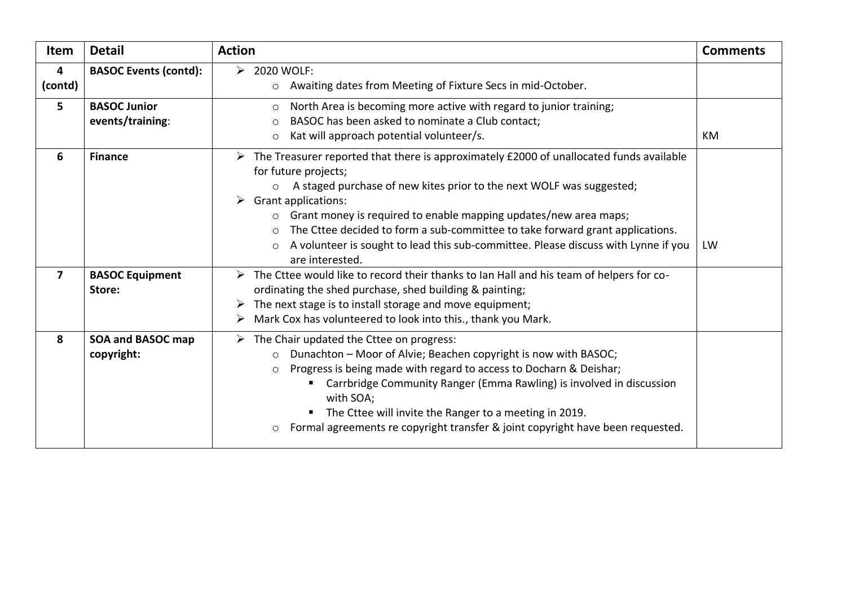| <b>Item</b>             | <b>Detail</b>                           | <b>Action</b>                                                                                                                                                                                                                                                                                                                                                                                                                                                                                                                   | <b>Comments</b> |
|-------------------------|-----------------------------------------|---------------------------------------------------------------------------------------------------------------------------------------------------------------------------------------------------------------------------------------------------------------------------------------------------------------------------------------------------------------------------------------------------------------------------------------------------------------------------------------------------------------------------------|-----------------|
| 4<br>(contd)            | <b>BASOC Events (contd):</b>            | 2020 WOLF:<br>➤<br>Awaiting dates from Meeting of Fixture Secs in mid-October.<br>$\circ$                                                                                                                                                                                                                                                                                                                                                                                                                                       |                 |
| $5\overline{)}$         | <b>BASOC Junior</b><br>events/training: | North Area is becoming more active with regard to junior training;<br>$\circ$<br>BASOC has been asked to nominate a Club contact;<br>$\bigcirc$<br>Kat will approach potential volunteer/s.<br>$\circ$                                                                                                                                                                                                                                                                                                                          | KM              |
| 6                       | <b>Finance</b>                          | $\triangleright$ The Treasurer reported that there is approximately £2000 of unallocated funds available<br>for future projects;<br>A staged purchase of new kites prior to the next WOLF was suggested;<br><b>Grant applications:</b><br>➤<br>Grant money is required to enable mapping updates/new area maps;<br>The Cttee decided to form a sub-committee to take forward grant applications.<br>$\circ$<br>A volunteer is sought to lead this sub-committee. Please discuss with Lynne if you<br>$\circ$<br>are interested. | LW              |
| $\overline{\mathbf{z}}$ | <b>BASOC Equipment</b><br>Store:        | The Cttee would like to record their thanks to Ian Hall and his team of helpers for co-<br>ordinating the shed purchase, shed building & painting;<br>The next stage is to install storage and move equipment;<br>➤<br>Mark Cox has volunteered to look into this., thank you Mark.<br>➤                                                                                                                                                                                                                                        |                 |
| 8                       | <b>SOA and BASOC map</b><br>copyright:  | The Chair updated the Cttee on progress:<br>➤<br>Dunachton - Moor of Alvie; Beachen copyright is now with BASOC;<br>$\circ$<br>Progress is being made with regard to access to Docharn & Deishar;<br>$\circ$<br>Carrbridge Community Ranger (Emma Rawling) is involved in discussion<br>with SOA;<br>The Cttee will invite the Ranger to a meeting in 2019.<br>п<br>Formal agreements re copyright transfer & joint copyright have been requested.                                                                              |                 |